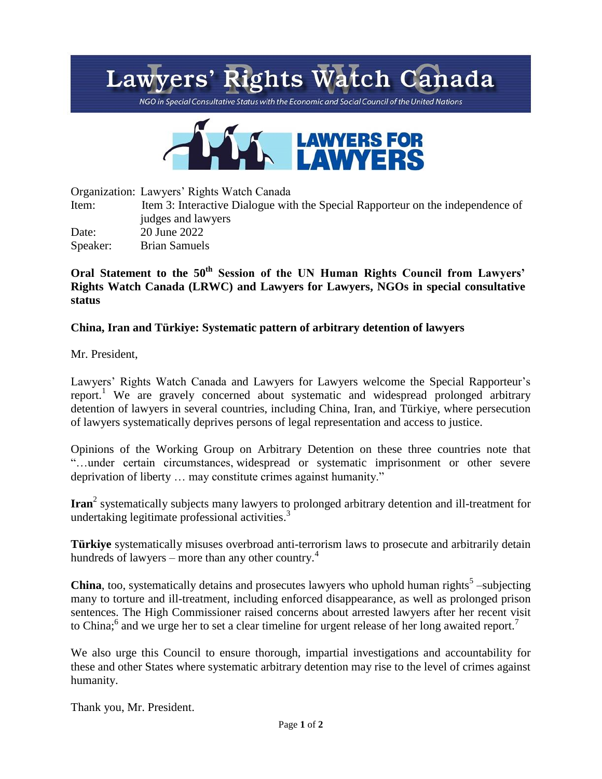## Lawyers' Rights Watch Canada

NGO in Special Consultative Status with the Economic and Social Council of the United Nations



Organization: Lawyers' Rights Watch Canada

Item: Item 3: Interactive Dialogue with the Special Rapporteur on the independence of judges and lawyers Date: 20 June 2022

Speaker: Brian Samuels

## **Oral Statement to the 50th Session of the UN Human Rights Council from Lawyers' Rights Watch Canada (LRWC) and Lawyers for Lawyers, NGOs in special consultative status**

## **China, Iran and Türkiye: Systematic pattern of arbitrary detention of lawyers**

Mr. President,

Lawyers' Rights Watch Canada and Lawyers for Lawyers welcome the Special Rapporteur's report.<sup>1</sup> We are gravely concerned about systematic and widespread prolonged arbitrary detention of lawyers in several countries, including China, Iran, and Türkiye, where persecution of lawyers systematically deprives persons of legal representation and access to justice.

Opinions of the Working Group on Arbitrary Detention on these three countries note that "…under certain circumstances, widespread or systematic imprisonment or other severe deprivation of liberty … may constitute crimes against humanity."

**Iran**<sup>2</sup> systematically subjects many lawyers to prolonged arbitrary detention and ill-treatment for undertaking legitimate professional activities.<sup>3</sup>

**Türkiye** systematically misuses overbroad anti-terrorism laws to prosecute and arbitrarily detain hundreds of lawyers – more than any other country.<sup>4</sup>

**China**, too, systematically detains and prosecutes lawyers who uphold human rights<sup>5</sup> -subjecting many to torture and ill-treatment, including enforced disappearance, as well as prolonged prison sentences. The High Commissioner raised concerns about arrested lawyers after her recent visit to China;<sup>6</sup> and we urge her to set a clear timeline for urgent release of her long awaited report.<sup>7</sup>

We also urge this Council to ensure thorough, impartial investigations and accountability for these and other States where systematic arbitrary detention may rise to the level of crimes against humanity.

Thank you, Mr. President.